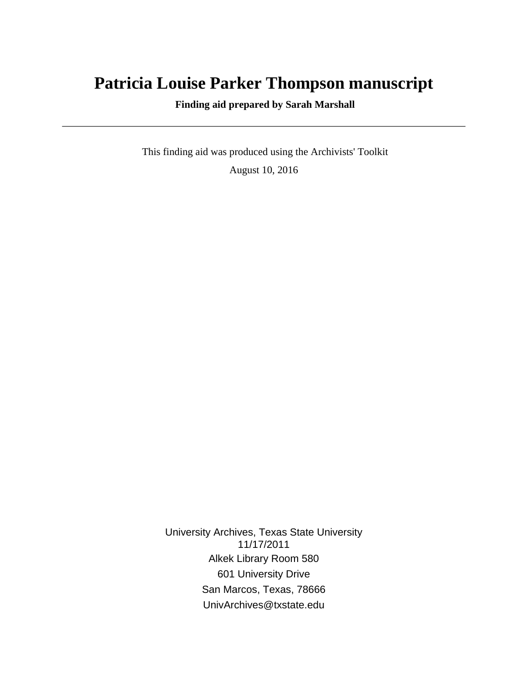# **Patricia Louise Parker Thompson manuscript**

 **Finding aid prepared by Sarah Marshall**

 This finding aid was produced using the Archivists' Toolkit August 10, 2016

University Archives, Texas State University 11/17/2011 Alkek Library Room 580 601 University Drive San Marcos, Texas, 78666 UnivArchives@txstate.edu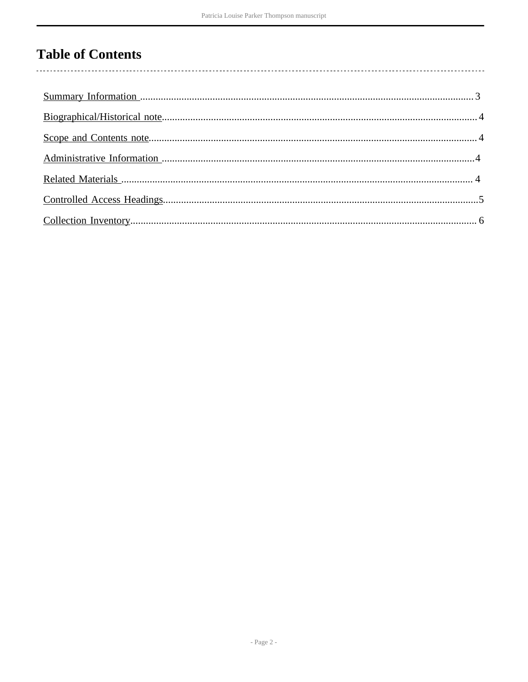# **Table of Contents**

 $\overline{\phantom{a}}$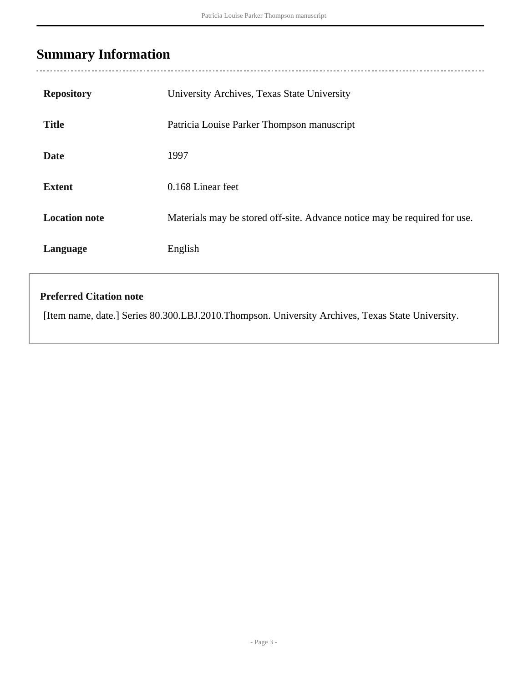## <span id="page-2-0"></span>**Summary Information**

| <b>Repository</b>    | University Archives, Texas State University                               |
|----------------------|---------------------------------------------------------------------------|
| <b>Title</b>         | Patricia Louise Parker Thompson manuscript                                |
| <b>Date</b>          | 1997                                                                      |
| <b>Extent</b>        | 0.168 Linear feet                                                         |
| <b>Location note</b> | Materials may be stored off-site. Advance notice may be required for use. |
| Language             | English                                                                   |

### **Preferred Citation note**

[Item name, date.] Series 80.300.LBJ.2010.Thompson. University Archives, Texas State University.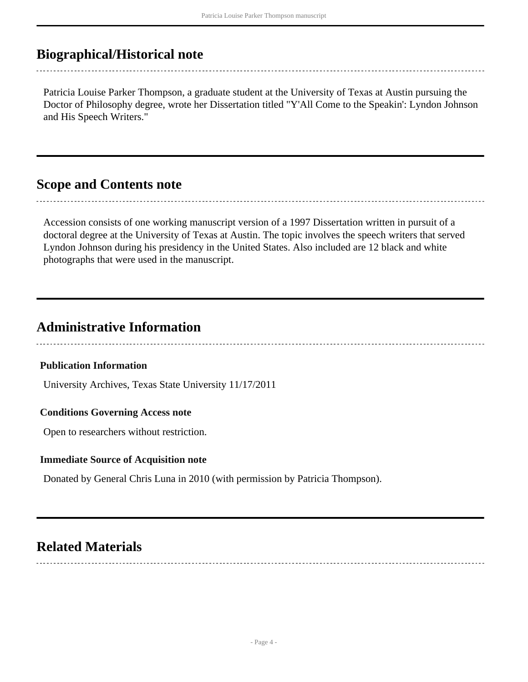## <span id="page-3-0"></span>**Biographical/Historical note**

Patricia Louise Parker Thompson, a graduate student at the University of Texas at Austin pursuing the Doctor of Philosophy degree, wrote her Dissertation titled "Y'All Come to the Speakin': Lyndon Johnson and His Speech Writers."

### <span id="page-3-1"></span>**Scope and Contents note**

Accession consists of one working manuscript version of a 1997 Dissertation written in pursuit of a doctoral degree at the University of Texas at Austin. The topic involves the speech writers that served Lyndon Johnson during his presidency in the United States. Also included are 12 black and white photographs that were used in the manuscript.

### <span id="page-3-2"></span>**Administrative Information**

#### **Publication Information**

University Archives, Texas State University 11/17/2011

#### **Conditions Governing Access note**

Open to researchers without restriction.

#### **Immediate Source of Acquisition note**

Donated by General Chris Luna in 2010 (with permission by Patricia Thompson).

### <span id="page-3-3"></span>**Related Materials**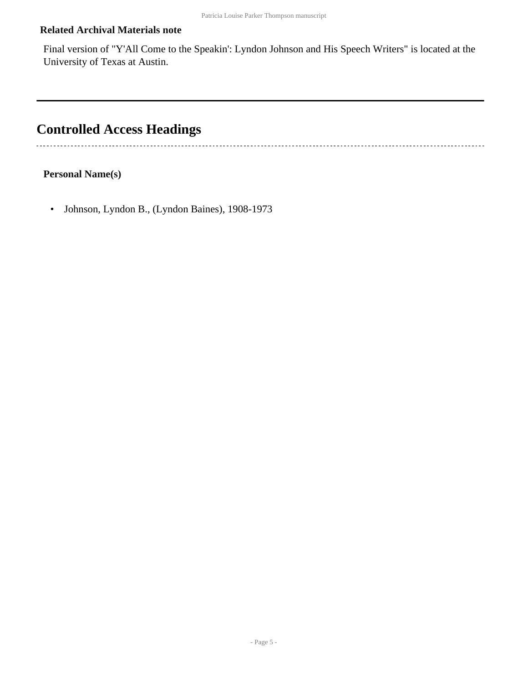### **Related Archival Materials note**

Final version of "Y'All Come to the Speakin': Lyndon Johnson and His Speech Writers" is located at the University of Texas at Austin.

# <span id="page-4-0"></span>**Controlled Access Headings**

#### **Personal Name(s)**

• Johnson, Lyndon B., (Lyndon Baines), 1908-1973